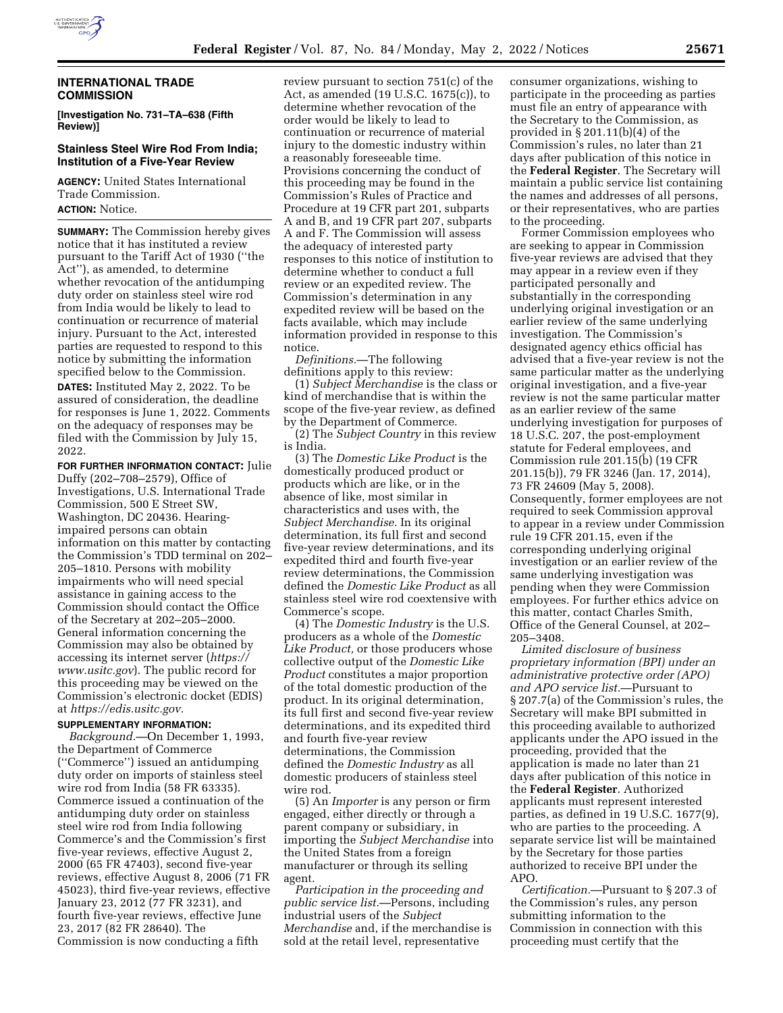

#### **INTERNATIONAL TRADE COMMISSION**

**[Investigation No. 731–TA–638 (Fifth Review)]** 

# **Stainless Steel Wire Rod From India; Institution of a Five-Year Review**

**AGENCY:** United States International Trade Commission. **ACTION:** Notice.

**SUMMARY:** The Commission hereby gives notice that it has instituted a review pursuant to the Tariff Act of 1930 (''the Act''), as amended, to determine whether revocation of the antidumping duty order on stainless steel wire rod from India would be likely to lead to continuation or recurrence of material injury. Pursuant to the Act, interested parties are requested to respond to this notice by submitting the information specified below to the Commission.

**DATES:** Instituted May 2, 2022. To be assured of consideration, the deadline for responses is June 1, 2022. Comments on the adequacy of responses may be filed with the Commission by July 15, 2022.

**FOR FURTHER INFORMATION CONTACT:** Julie Duffy (202–708–2579), Office of Investigations, U.S. International Trade Commission, 500 E Street SW, Washington, DC 20436. Hearingimpaired persons can obtain information on this matter by contacting the Commission's TDD terminal on 202– 205–1810. Persons with mobility impairments who will need special assistance in gaining access to the Commission should contact the Office of the Secretary at 202–205–2000. General information concerning the Commission may also be obtained by accessing its internet server (*https:// www.usitc.gov*). The public record for this proceeding may be viewed on the Commission's electronic docket (EDIS) at *https://edis.usitc.gov.* 

## **SUPPLEMENTARY INFORMATION:**

*Background.*—On December 1, 1993, the Department of Commerce (''Commerce'') issued an antidumping duty order on imports of stainless steel wire rod from India (58 FR 63335). Commerce issued a continuation of the antidumping duty order on stainless steel wire rod from India following Commerce's and the Commission's first five-year reviews, effective August 2, 2000 (65 FR 47403), second five-year reviews, effective August 8, 2006 (71 FR 45023), third five-year reviews, effective January 23, 2012 (77 FR 3231), and fourth five-year reviews, effective June 23, 2017 (82 FR 28640). The Commission is now conducting a fifth

review pursuant to section 751(c) of the Act, as amended (19 U.S.C. 1675(c)), to determine whether revocation of the order would be likely to lead to continuation or recurrence of material injury to the domestic industry within a reasonably foreseeable time. Provisions concerning the conduct of this proceeding may be found in the Commission's Rules of Practice and Procedure at 19 CFR part 201, subparts A and B, and 19 CFR part 207, subparts A and F. The Commission will assess the adequacy of interested party responses to this notice of institution to determine whether to conduct a full review or an expedited review. The Commission's determination in any expedited review will be based on the facts available, which may include information provided in response to this notice.

*Definitions.*—The following definitions apply to this review:

(1) *Subject Merchandise* is the class or kind of merchandise that is within the scope of the five-year review, as defined by the Department of Commerce.

(2) The *Subject Country* in this review is India.

(3) The *Domestic Like Product* is the domestically produced product or products which are like, or in the absence of like, most similar in characteristics and uses with, the *Subject Merchandise.* In its original determination, its full first and second five-year review determinations, and its expedited third and fourth five-year review determinations, the Commission defined the *Domestic Like Product* as all stainless steel wire rod coextensive with Commerce's scope.

(4) The *Domestic Industry* is the U.S. producers as a whole of the *Domestic Like Product,* or those producers whose collective output of the *Domestic Like Product* constitutes a major proportion of the total domestic production of the product. In its original determination, its full first and second five-year review determinations, and its expedited third and fourth five-year review determinations, the Commission defined the *Domestic Industry* as all domestic producers of stainless steel wire rod.

(5) An *Importer* is any person or firm engaged, either directly or through a parent company or subsidiary, in importing the *Subject Merchandise* into the United States from a foreign manufacturer or through its selling agent.

*Participation in the proceeding and public service list.*—Persons, including industrial users of the *Subject Merchandise* and, if the merchandise is sold at the retail level, representative

consumer organizations, wishing to participate in the proceeding as parties must file an entry of appearance with the Secretary to the Commission, as provided in § 201.11(b)(4) of the Commission's rules, no later than 21 days after publication of this notice in the **Federal Register**. The Secretary will maintain a public service list containing the names and addresses of all persons, or their representatives, who are parties to the proceeding.

Former Commission employees who are seeking to appear in Commission five-year reviews are advised that they may appear in a review even if they participated personally and substantially in the corresponding underlying original investigation or an earlier review of the same underlying investigation. The Commission's designated agency ethics official has advised that a five-year review is not the same particular matter as the underlying original investigation, and a five-year review is not the same particular matter as an earlier review of the same underlying investigation for purposes of 18 U.S.C. 207, the post-employment statute for Federal employees, and Commission rule 201.15(b) (19 CFR 201.15(b)), 79 FR 3246 (Jan. 17, 2014), 73 FR 24609 (May 5, 2008). Consequently, former employees are not required to seek Commission approval to appear in a review under Commission rule 19 CFR 201.15, even if the corresponding underlying original investigation or an earlier review of the same underlying investigation was pending when they were Commission employees. For further ethics advice on this matter, contact Charles Smith, Office of the General Counsel, at 202– 205–3408.

*Limited disclosure of business proprietary information (BPI) under an administrative protective order (APO) and APO service list.*—Pursuant to § 207.7(a) of the Commission's rules, the Secretary will make BPI submitted in this proceeding available to authorized applicants under the APO issued in the proceeding, provided that the application is made no later than 21 days after publication of this notice in the **Federal Register**. Authorized applicants must represent interested parties, as defined in 19 U.S.C. 1677(9), who are parties to the proceeding. A separate service list will be maintained by the Secretary for those parties authorized to receive BPI under the APO.

*Certification.*—Pursuant to § 207.3 of the Commission's rules, any person submitting information to the Commission in connection with this proceeding must certify that the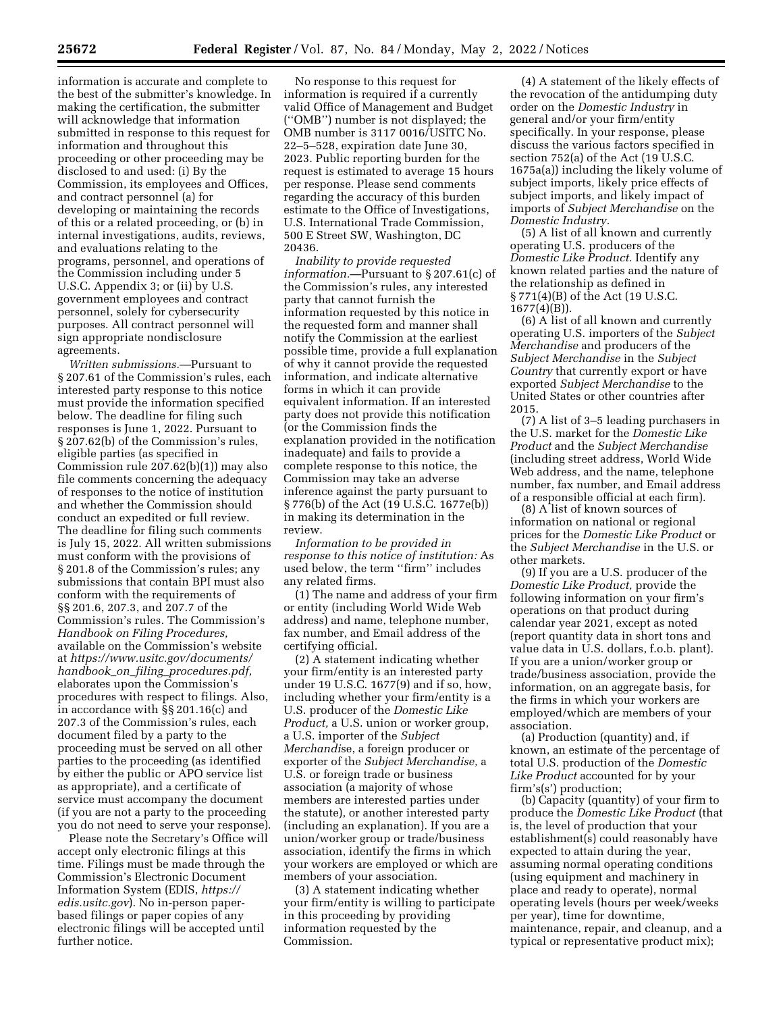information is accurate and complete to the best of the submitter's knowledge. In making the certification, the submitter will acknowledge that information submitted in response to this request for information and throughout this proceeding or other proceeding may be disclosed to and used: (i) By the Commission, its employees and Offices, and contract personnel (a) for developing or maintaining the records of this or a related proceeding, or (b) in internal investigations, audits, reviews, and evaluations relating to the programs, personnel, and operations of the Commission including under 5 U.S.C. Appendix 3; or (ii) by U.S. government employees and contract personnel, solely for cybersecurity purposes. All contract personnel will sign appropriate nondisclosure agreements.

*Written submissions.*—Pursuant to § 207.61 of the Commission's rules, each interested party response to this notice must provide the information specified below. The deadline for filing such responses is June 1, 2022. Pursuant to § 207.62(b) of the Commission's rules, eligible parties (as specified in Commission rule 207.62(b)(1)) may also file comments concerning the adequacy of responses to the notice of institution and whether the Commission should conduct an expedited or full review. The deadline for filing such comments is July 15, 2022. All written submissions must conform with the provisions of § 201.8 of the Commission's rules; any submissions that contain BPI must also conform with the requirements of §§ 201.6, 207.3, and 207.7 of the Commission's rules. The Commission's *Handbook on Filing Procedures,*  available on the Commission's website at *https://www.usitc.gov/documents/ handbook*\_*on*\_*filing*\_*procedures.pdf,*  elaborates upon the Commission's procedures with respect to filings. Also, in accordance with §§ 201.16(c) and 207.3 of the Commission's rules, each document filed by a party to the proceeding must be served on all other parties to the proceeding (as identified by either the public or APO service list as appropriate), and a certificate of service must accompany the document (if you are not a party to the proceeding you do not need to serve your response).

Please note the Secretary's Office will accept only electronic filings at this time. Filings must be made through the Commission's Electronic Document Information System (EDIS, *https:// edis.usitc.gov*). No in-person paperbased filings or paper copies of any electronic filings will be accepted until further notice.

No response to this request for information is required if a currently valid Office of Management and Budget (''OMB'') number is not displayed; the OMB number is 3117 0016/USITC No. 22–5–528, expiration date June 30, 2023. Public reporting burden for the request is estimated to average 15 hours per response. Please send comments regarding the accuracy of this burden estimate to the Office of Investigations, U.S. International Trade Commission, 500 E Street SW, Washington, DC 20436.

*Inability to provide requested information.*—Pursuant to § 207.61(c) of the Commission's rules, any interested party that cannot furnish the information requested by this notice in the requested form and manner shall notify the Commission at the earliest possible time, provide a full explanation of why it cannot provide the requested information, and indicate alternative forms in which it can provide equivalent information. If an interested party does not provide this notification (or the Commission finds the explanation provided in the notification inadequate) and fails to provide a complete response to this notice, the Commission may take an adverse inference against the party pursuant to § 776(b) of the Act (19 U.S.C. 1677e(b)) in making its determination in the review.

*Information to be provided in response to this notice of institution:* As used below, the term ''firm'' includes any related firms.

(1) The name and address of your firm or entity (including World Wide Web address) and name, telephone number, fax number, and Email address of the certifying official.

(2) A statement indicating whether your firm/entity is an interested party under 19 U.S.C. 1677(9) and if so, how, including whether your firm/entity is a U.S. producer of the *Domestic Like Product,* a U.S. union or worker group, a U.S. importer of the *Subject Merchandi*se, a foreign producer or exporter of the *Subject Merchandise,* a U.S. or foreign trade or business association (a majority of whose members are interested parties under the statute), or another interested party (including an explanation). If you are a union/worker group or trade/business association, identify the firms in which your workers are employed or which are members of your association.

(3) A statement indicating whether your firm/entity is willing to participate in this proceeding by providing information requested by the Commission.

(4) A statement of the likely effects of the revocation of the antidumping duty order on the *Domestic Industry* in general and/or your firm/entity specifically. In your response, please discuss the various factors specified in section 752(a) of the Act (19 U.S.C. 1675a(a)) including the likely volume of subject imports, likely price effects of subject imports, and likely impact of imports of *Subject Merchandise* on the *Domestic Industry.* 

(5) A list of all known and currently operating U.S. producers of the *Domestic Like Product.* Identify any known related parties and the nature of the relationship as defined in § 771(4)(B) of the Act (19 U.S.C. 1677(4)(B)).

(6) A list of all known and currently operating U.S. importers of the *Subject Merchandise* and producers of the *Subject Merchandise* in the *Subject Country* that currently export or have exported *Subject Merchandise* to the United States or other countries after 2015.

(7) A list of 3–5 leading purchasers in the U.S. market for the *Domestic Like Product* and the *Subject Merchandise*  (including street address, World Wide Web address, and the name, telephone number, fax number, and Email address of a responsible official at each firm).

(8) A list of known sources of information on national or regional prices for the *Domestic Like Product* or the *Subject Merchandise* in the U.S. or other markets.

(9) If you are a U.S. producer of the *Domestic Like Product,* provide the following information on your firm's operations on that product during calendar year 2021, except as noted (report quantity data in short tons and value data in U.S. dollars, f.o.b. plant). If you are a union/worker group or trade/business association, provide the information, on an aggregate basis, for the firms in which your workers are employed/which are members of your association.

(a) Production (quantity) and, if known, an estimate of the percentage of total U.S. production of the *Domestic Like Product* accounted for by your firm's(s') production;

(b) Capacity (quantity) of your firm to produce the *Domestic Like Product* (that is, the level of production that your establishment(s) could reasonably have expected to attain during the year, assuming normal operating conditions (using equipment and machinery in place and ready to operate), normal operating levels (hours per week/weeks per year), time for downtime, maintenance, repair, and cleanup, and a typical or representative product mix);